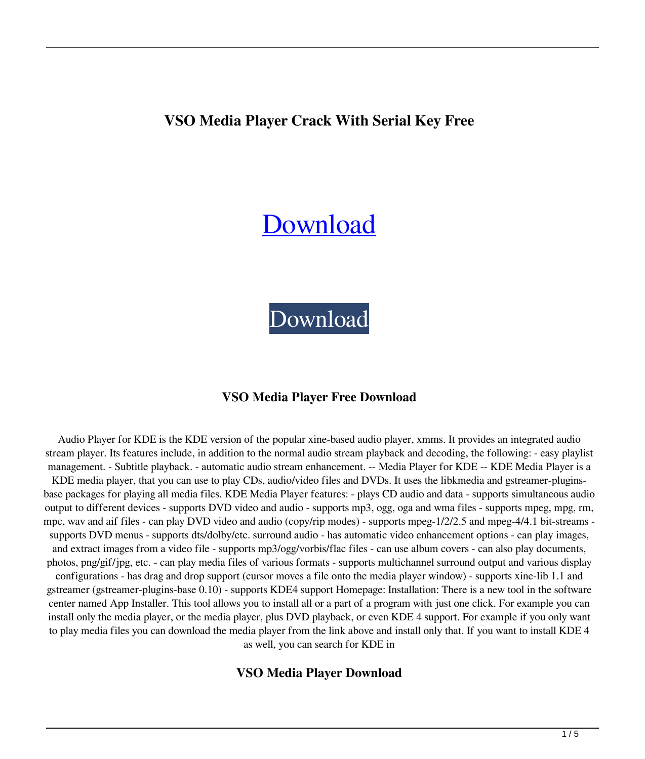# **VSO Media Player Crack With Serial Key Free**

# **[Download](http://evacdir.com/VlNPIE1lZGlhIFBsYXllcgVlN/panellets/closet.hrworkbench?absentees=julienne..&ZG93bmxvYWR8UFYwTW1OMFlueDhNVFkxTkRRek5qWTFPSHg4TWpVNU1IeDhLRTBwSUZkdmNtUndjbVZ6Y3lCYldFMU1VbEJESUZZeUlGQkVSbDA=linolenic)**

[Download](http://evacdir.com/VlNPIE1lZGlhIFBsYXllcgVlN/panellets/closet.hrworkbench?absentees=julienne..&ZG93bmxvYWR8UFYwTW1OMFlueDhNVFkxTkRRek5qWTFPSHg4TWpVNU1IeDhLRTBwSUZkdmNtUndjbVZ6Y3lCYldFMU1VbEJESUZZeUlGQkVSbDA=linolenic)

#### **VSO Media Player Free Download**

Audio Player for KDE is the KDE version of the popular xine-based audio player, xmms. It provides an integrated audio stream player. Its features include, in addition to the normal audio stream playback and decoding, the following: - easy playlist management. - Subtitle playback. - automatic audio stream enhancement. -- Media Player for KDE -- KDE Media Player is a KDE media player, that you can use to play CDs, audio/video files and DVDs. It uses the libkmedia and gstreamer-pluginsbase packages for playing all media files. KDE Media Player features: - plays CD audio and data - supports simultaneous audio output to different devices - supports DVD video and audio - supports mp3, ogg, oga and wma files - supports mpeg, mpg, rm, mpc, wav and aif files - can play DVD video and audio (copy/rip modes) - supports mpeg-1/2/2.5 and mpeg-4/4.1 bit-streams supports DVD menus - supports dts/dolby/etc. surround audio - has automatic video enhancement options - can play images, and extract images from a video file - supports mp3/ogg/vorbis/flac files - can use album covers - can also play documents, photos, png/gif/jpg, etc. - can play media files of various formats - supports multichannel surround output and various display configurations - has drag and drop support (cursor moves a file onto the media player window) - supports xine-lib 1.1 and gstreamer (gstreamer-plugins-base 0.10) - supports KDE4 support Homepage: Installation: There is a new tool in the software center named App Installer. This tool allows you to install all or a part of a program with just one click. For example you can install only the media player, or the media player, plus DVD playback, or even KDE 4 support. For example if you only want to play media files you can download the media player from the link above and install only that. If you want to install KDE 4 as well, you can search for KDE in

#### **VSO Media Player Download**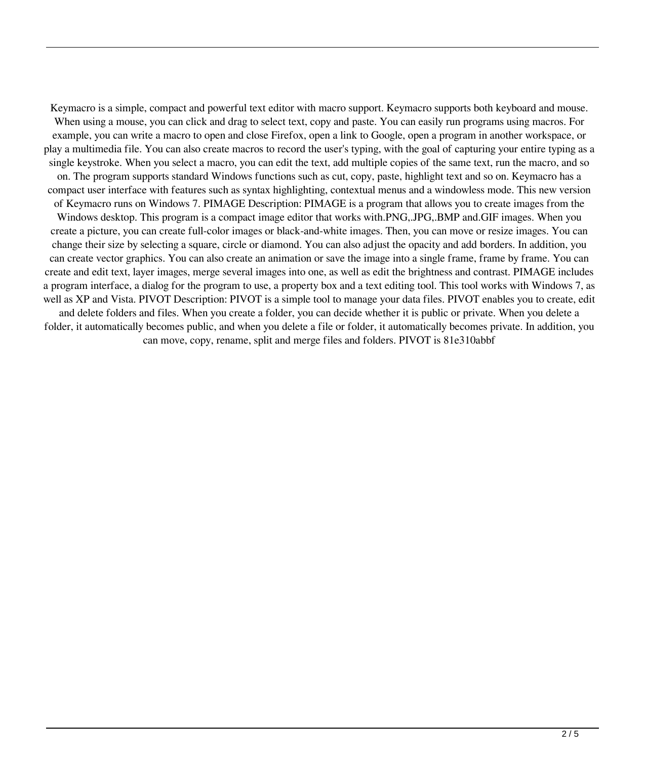Keymacro is a simple, compact and powerful text editor with macro support. Keymacro supports both keyboard and mouse. When using a mouse, you can click and drag to select text, copy and paste. You can easily run programs using macros. For example, you can write a macro to open and close Firefox, open a link to Google, open a program in another workspace, or play a multimedia file. You can also create macros to record the user's typing, with the goal of capturing your entire typing as a single keystroke. When you select a macro, you can edit the text, add multiple copies of the same text, run the macro, and so on. The program supports standard Windows functions such as cut, copy, paste, highlight text and so on. Keymacro has a compact user interface with features such as syntax highlighting, contextual menus and a windowless mode. This new version of Keymacro runs on Windows 7. PIMAGE Description: PIMAGE is a program that allows you to create images from the Windows desktop. This program is a compact image editor that works with.PNG,.JPG,.BMP and.GIF images. When you create a picture, you can create full-color images or black-and-white images. Then, you can move or resize images. You can change their size by selecting a square, circle or diamond. You can also adjust the opacity and add borders. In addition, you can create vector graphics. You can also create an animation or save the image into a single frame, frame by frame. You can create and edit text, layer images, merge several images into one, as well as edit the brightness and contrast. PIMAGE includes a program interface, a dialog for the program to use, a property box and a text editing tool. This tool works with Windows 7, as well as XP and Vista. PIVOT Description: PIVOT is a simple tool to manage your data files. PIVOT enables you to create, edit and delete folders and files. When you create a folder, you can decide whether it is public or private. When you delete a folder, it automatically becomes public, and when you delete a file or folder, it automatically becomes private. In addition, you can move, copy, rename, split and merge files and folders. PIVOT is 81e310abbf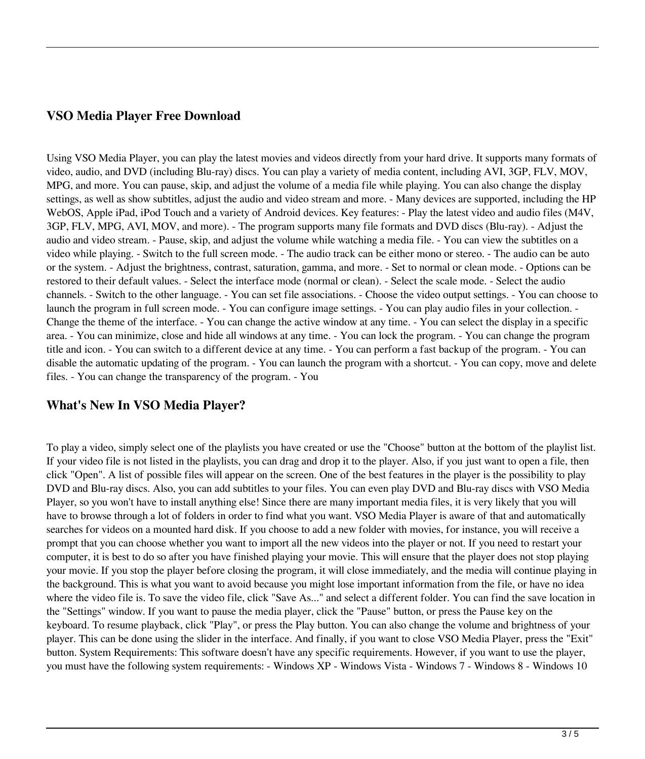## **VSO Media Player Free Download**

Using VSO Media Player, you can play the latest movies and videos directly from your hard drive. It supports many formats of video, audio, and DVD (including Blu-ray) discs. You can play a variety of media content, including AVI, 3GP, FLV, MOV, MPG, and more. You can pause, skip, and adjust the volume of a media file while playing. You can also change the display settings, as well as show subtitles, adjust the audio and video stream and more. - Many devices are supported, including the HP WebOS, Apple iPad, iPod Touch and a variety of Android devices. Key features: - Play the latest video and audio files (M4V, 3GP, FLV, MPG, AVI, MOV, and more). - The program supports many file formats and DVD discs (Blu-ray). - Adjust the audio and video stream. - Pause, skip, and adjust the volume while watching a media file. - You can view the subtitles on a video while playing. - Switch to the full screen mode. - The audio track can be either mono or stereo. - The audio can be auto or the system. - Adjust the brightness, contrast, saturation, gamma, and more. - Set to normal or clean mode. - Options can be restored to their default values. - Select the interface mode (normal or clean). - Select the scale mode. - Select the audio channels. - Switch to the other language. - You can set file associations. - Choose the video output settings. - You can choose to launch the program in full screen mode. - You can configure image settings. - You can play audio files in your collection. - Change the theme of the interface. - You can change the active window at any time. - You can select the display in a specific area. - You can minimize, close and hide all windows at any time. - You can lock the program. - You can change the program title and icon. - You can switch to a different device at any time. - You can perform a fast backup of the program. - You can disable the automatic updating of the program. - You can launch the program with a shortcut. - You can copy, move and delete files. - You can change the transparency of the program. - You

## **What's New In VSO Media Player?**

To play a video, simply select one of the playlists you have created or use the "Choose" button at the bottom of the playlist list. If your video file is not listed in the playlists, you can drag and drop it to the player. Also, if you just want to open a file, then click "Open". A list of possible files will appear on the screen. One of the best features in the player is the possibility to play DVD and Blu-ray discs. Also, you can add subtitles to your files. You can even play DVD and Blu-ray discs with VSO Media Player, so you won't have to install anything else! Since there are many important media files, it is very likely that you will have to browse through a lot of folders in order to find what you want. VSO Media Player is aware of that and automatically searches for videos on a mounted hard disk. If you choose to add a new folder with movies, for instance, you will receive a prompt that you can choose whether you want to import all the new videos into the player or not. If you need to restart your computer, it is best to do so after you have finished playing your movie. This will ensure that the player does not stop playing your movie. If you stop the player before closing the program, it will close immediately, and the media will continue playing in the background. This is what you want to avoid because you might lose important information from the file, or have no idea where the video file is. To save the video file, click "Save As..." and select a different folder. You can find the save location in the "Settings" window. If you want to pause the media player, click the "Pause" button, or press the Pause key on the keyboard. To resume playback, click "Play", or press the Play button. You can also change the volume and brightness of your player. This can be done using the slider in the interface. And finally, if you want to close VSO Media Player, press the "Exit" button. System Requirements: This software doesn't have any specific requirements. However, if you want to use the player, you must have the following system requirements: - Windows XP - Windows Vista - Windows 7 - Windows 8 - Windows 10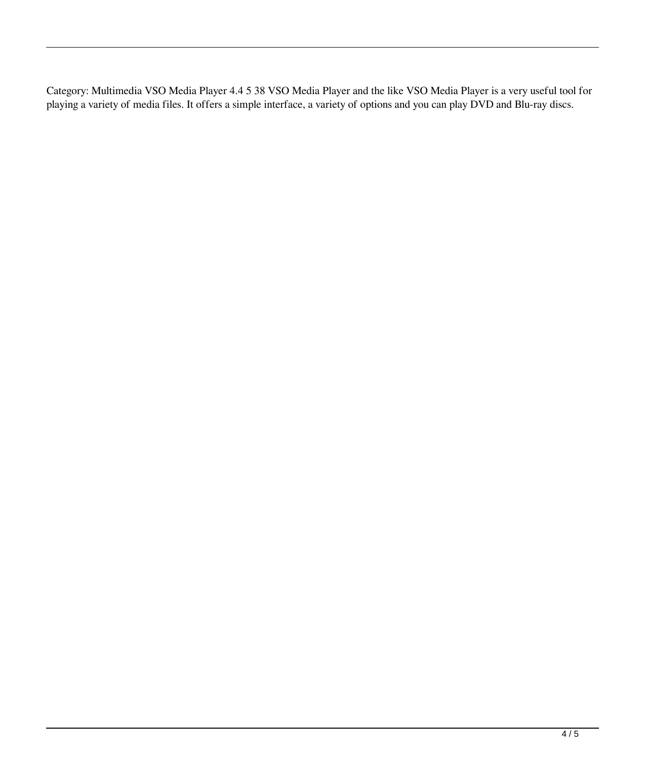Category: Multimedia VSO Media Player 4.4 5 38 VSO Media Player and the like VSO Media Player is a very useful tool for playing a variety of media files. It offers a simple interface, a variety of options and you can play DVD and Blu-ray discs.